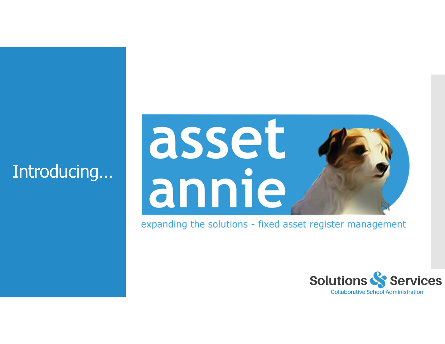# Introducing…



expanding the solutions - fixed asset register management

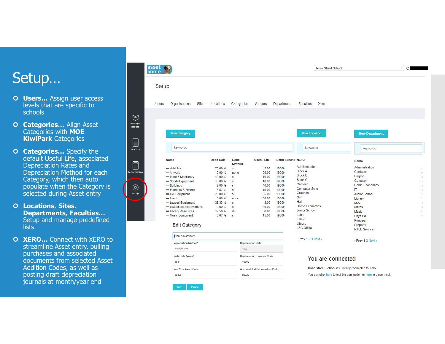### Setup…

**O** Users... Assign user access levels that are specific to levels that are specific to schools

 $\bigcirc$ manage<br>assets

 $\blacksquare$ reports

 $\textcolor{red}{\blacksquare}$ lepreciatio

 $\begin{matrix} \textcircled{1} \\ \text{setup} \end{matrix}$ 

- **Categories...** Align Asset<br>Categories with **MOE** Categories with **MOE KiwiPark** Categories
- **Categories...** Specify the<br>default Useful Life associat default Useful Life, associated Depreciation Rates and Depreciation Method for each Category, which then auto populate when the Category is selected during Asset entry

 **Locations**, **Sites**, **Departments, Faculties…** Setup and manage predefined **lists** 

**C XERO...** Connect with XERO to<br>streamline Asset entry, pulling streamline Asset entry, pulling purchases and associated documents from selected Asset Addition Codes, as well as posting draft depreciation journals at month/year end

| asset<br>anr        |                                       |                          |               |                  |                |                   |                                      |                  |                                  |                                                    | Rose Street School |              |                                                                  | $\scriptstyle\rm w$<br>O |
|---------------------|---------------------------------------|--------------------------|---------------|------------------|----------------|-------------------|--------------------------------------|------------------|----------------------------------|----------------------------------------------------|--------------------|--------------|------------------------------------------------------------------|--------------------------|
|                     | Setup                                 |                          |               |                  |                |                   |                                      |                  |                                  |                                                    |                    |              |                                                                  |                          |
|                     | <b>Users</b>                          | Organisations            | <b>Sites</b>  | Locations        |                | Categories        | Vendors                              | Departments      | <b>Faculties</b>                 | Xero                                               |                    |              |                                                                  |                          |
|                     |                                       |                          |               |                  |                |                   |                                      |                  |                                  |                                                    |                    |              |                                                                  |                          |
|                     |                                       |                          |               |                  |                |                   |                                      |                  |                                  |                                                    |                    |              |                                                                  |                          |
|                     |                                       | <b>New Category</b>      |               |                  |                |                   |                                      |                  | <b>New Location</b>              |                                                    |                    |              | <b>New Department</b>                                            |                          |
|                     |                                       | keywords                 |               |                  |                |                   |                                      |                  | keywords                         |                                                    |                    |              | keywords                                                         |                          |
|                     |                                       | Name                     |               | <b>Depn Rate</b> | Depn<br>Method |                   | <b>Useful Life</b>                   | Depn Expens Name |                                  |                                                    |                    | <b>Name</b>  |                                                                  |                          |
|                     |                                       | $=$ Vehicles             |               | 20.00%<br>sl     |                |                   | 5.00                                 | 19000            | Administration                   |                                                    |                    |              | Administration                                                   |                          |
|                     |                                       | $=$ Artwork              |               | 0.00%            | none           |                   | 100.00                               | 19000            | <b>Block A</b>                   |                                                    |                    |              | Canteen                                                          |                          |
|                     |                                       | = Plant & Machinery      |               | 10.00 %          | sl             |                   | 10.00                                | 19000            | <b>Block B</b>                   |                                                    |                    | English      |                                                                  |                          |
|                     | = Sports Equipment                    |                          |               | 10.00 %          | sl             |                   | 10.00                                | 19000            | <b>Block C</b>                   |                                                    |                    |              | Gateway                                                          |                          |
|                     |                                       | $=$ Buildings            |               | 2.00%            | sl             |                   | 40.00                                | 19000            | Canteen                          |                                                    |                    |              | <b>Home Economics</b>                                            |                          |
|                     |                                       | = Furniture & Fittings   |               | 6.67%            | sl             |                   | 15.00                                | 19000            | <b>Computer Suite</b><br>Grounds |                                                    |                    | IT           |                                                                  |                          |
|                     |                                       | $=$ ICT Equipment        |               | 20.00%           | sl             |                   | 5.00                                 | 19000            | Gym                              |                                                    |                    |              | <b>Junior School</b>                                             |                          |
|                     |                                       | $=$ Land                 |               | 0.00%            | none           |                   | 100.00                               | 19000            | Hall                             |                                                    |                    | Library      |                                                                  |                          |
|                     |                                       | = Leased Equipment       |               | 33.33 %          | sl             |                   | 3.00                                 | 19000            | <b>Home Economics</b>            |                                                    |                    | <b>LSC</b>   |                                                                  |                          |
|                     |                                       | = Leasehold Improvements |               | 2.50%            | sl<br>dv       |                   | 40.00<br>8.00                        | 19000<br>19000   | <b>Junior School</b>             |                                                    |                    | Maths        |                                                                  |                          |
|                     |                                       | = Library Resources      |               | 12.50 %<br>6.67% | sl             |                   | 15.00                                | 19000            | Lab <sub>1</sub>                 |                                                    |                    | <b>Music</b> |                                                                  |                          |
|                     |                                       | = Music Equipment        |               |                  |                |                   |                                      |                  | Lab <sub>2</sub>                 |                                                    |                    |              | <b>Phys Ed</b>                                                   |                          |
|                     |                                       |                          |               |                  |                |                   |                                      |                  | Library                          |                                                    |                    |              | Principal                                                        |                          |
|                     |                                       | <b>Edit Category</b>     |               |                  |                |                   |                                      |                  | <b>LSC Office</b>                |                                                    |                    |              | Property<br><b>RTLB Service</b>                                  |                          |
|                     |                                       | Plant & Machinery        |               |                  |                |                   |                                      |                  |                                  |                                                    |                    |              |                                                                  |                          |
|                     |                                       |                          |               |                  |                | Depreciation Rate |                                      |                  | <prev 123="" next=""></prev>     |                                                    |                    |              | <prev 1="" 2="" next=""></prev>                                  |                          |
|                     | Depreciation Method*<br>Straight line |                          |               |                  |                |                   | 10.0                                 |                  |                                  |                                                    |                    |              |                                                                  |                          |
| Useful Life (years) |                                       |                          |               |                  |                |                   | Depreciation Expense Code            |                  |                                  | You are connected                                  |                    |              |                                                                  |                          |
|                     | 10.0                                  |                          |               |                  |                |                   |                                      |                  |                                  |                                                    |                    |              |                                                                  |                          |
|                     | Prior Year Asset Code                 |                          |               |                  |                |                   | <b>Accumulated Depreciation Code</b> |                  |                                  | Rose Street School is currently connected to Xero. |                    |              |                                                                  |                          |
|                     |                                       | 89320                    |               |                  |                | 89325             |                                      |                  |                                  |                                                    |                    |              | You can click here to test the connection or here to disconnect. |                          |
|                     |                                       | Save                     | <b>Cancel</b> |                  |                |                   |                                      |                  |                                  |                                                    |                    |              |                                                                  |                          |
|                     |                                       |                          |               |                  |                |                   |                                      |                  |                                  |                                                    |                    |              |                                                                  |                          |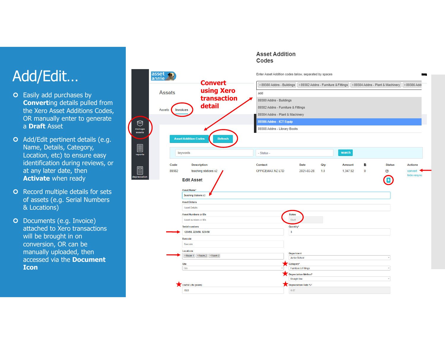### Add/Edit…

**O** Easily add purchases by<br>Converting details pulle **Convert**ing details pulled from the Xero Asset Additions Codes<mark>,</mark><br>OR manually enter to generate OR manually enter to generate a **Draft** Asset

 $\bigotimes$ manage<br>assets

 $\boxed{\Xi}$ 

 $\fbox{2pt} \begin{tabular}{|c|c|} \hline \quad \quad & \quad \quad & \quad \quad \\ \hline \quad \quad & \quad \quad & \quad \\ \hline \quad \quad & \quad \quad \\ \hline \quad \quad & \quad \quad \\ \hline \quad \quad & \quad \quad \\ \hline \quad \quad & \quad \quad \\ \hline \end{tabular}$ 

- **O** Add/Edit pertinent details (e.g.<br>Name Details Category Name, Details, Category, Location, etc) to ensure easy identification during reviews, or at any later date, then **Activate** when ready
- **O** Record multiple details for sets<br>
of assets (e.g. Serial Numbers of assets (e.g. Serial Numbers & Locations)
- O Documents (e.g. Invoice) attached to Xero transactions will be brought in on conversion, OR can be manually uploaded, then accessed via the **Document Icon**

#### Codes asset **A** Enter Asset Addition codes below, separated by spaces annie **Convert** x 89380 Addns - Buildings | x 89382 Addns - Furniture & Fittings | x 89384 Addns - Plant & Machinery | x 89386 Addr **using XeroAssets** add **transaction** 89380 Addns - Buildings **detail**89382 Addns - Furniture & Fittings **Invoices** Assets 89384 Addns - Plant & Machinery 39386 Addns - ICT Equip 89388 Addns - Library Books **Asset Addition Codes** Refresh keywords - Status search Code **Description** Contact Date Qty B **Status Actions** Amount OFFICEMAX NZ LTD  $1.0$  $^{\circ}$ 89382 teaching stations x2 2021-02-28 1,347.92  $\mathbf{0}$ convert hide resync O **Edit Asset Asset Name Teaching Stations x2 Asset Details Asset Details Asset Numbers or IDs Status** Draft Asset numbers or IDs Quantity Serial numbers 123456, 223456, 323456  $\overline{\mathbf{3}}$ Barcode Barcode Locations Department  $\times$  Room 1  $\times$  Room 2  $\times$  Room 3 Junior Schoo Site Category\* Site Furniture & Fittings Depreciation Method\* Straight line Useful Life (years) Depreciation Rate %\*  $15.0$  $6.67$

**Asset Addition**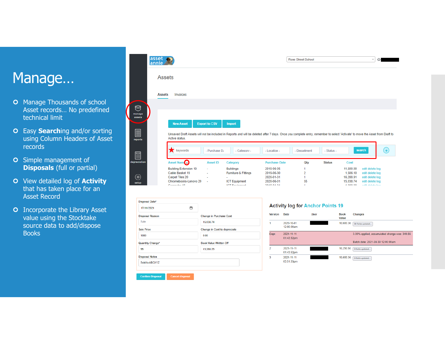### Manage…

- **O** Manage Thousands of school Asset records… No predefined technical limit
- Easy **Search**ing and/or sorting using Column Headers of Asset records
- **O** Simple management of **Disposals** (full or partial)
- View detailed log of **Activity** that has taken place for an Asset Record
- **O** Incorporate the Library Asset value using the Stocktake source data to add/dispose Books



| 17/11/2021             | m |                                |
|------------------------|---|--------------------------------|
| <b>Disposal Reason</b> |   | <b>Change in Purchase Cost</b> |
| Sale                   |   | 15,038.74                      |
| <b>Sale Price</b>      |   | Change in Cost to depreciate   |
| 1000                   |   | 0.00                           |
| Quantity Change*       |   | <b>Book Value Written Off</b>  |
| 55                     |   | 13,288.23                      |
| <b>Disposal Notes</b>  |   |                                |
| Sold to ABCXYZ         |   |                                |

#### **Activity log for Anchor Points 19**

| <b>Version</b> | Date:                    | User | <b>Book</b><br>Value | <b>Changes</b>                                                                     |
|----------------|--------------------------|------|----------------------|------------------------------------------------------------------------------------|
|                | 2020-10-01<br>12:00:00am |      | 10,600.36            | 36 fields updated                                                                  |
| Depr.          | 2021-11-11<br>01:43:52pm |      |                      | 3.00% applied, accumulated change was: 349.86<br>Batch date: 2021-09-30 12:00:00am |
| 2              | 2021-11-11<br>01:43:52pm |      | 10.250.50            | 3 fields updated                                                                   |
| 3              | 2021-11-11<br>03:51:33pm |      | 10.600.36            | 3 fields updated                                                                   |

**Confirm Disposal Cancel disposal**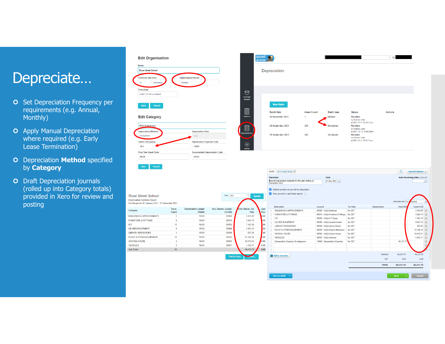### Depreciate…

- **O** Set Depreciation Frequency per<br>Frequirements (e.g. Annual requirements (e.g. Annual, Monthly)
- **O** Apply Manual Depreciation<br>Where required (e.g. Early where required (e.g. Early Lease Termination)
- Depreciation **Method** specified by **Category**
- **O** Draft Depreciation journals<br>Crolled up into Category total (rolled up into Category totals) provided in Xero for review and<br>posting posting

| Name                                                                                                                                                                                                                                                                                                                                         |                      |                                       |                     |                                  |                                                                                         |                      |                                                             |                                                             |                 |
|----------------------------------------------------------------------------------------------------------------------------------------------------------------------------------------------------------------------------------------------------------------------------------------------------------------------------------------------|----------------------|---------------------------------------|---------------------|----------------------------------|-----------------------------------------------------------------------------------------|----------------------|-------------------------------------------------------------|-------------------------------------------------------------|-----------------|
| Rose Street School                                                                                                                                                                                                                                                                                                                           |                      |                                       |                     |                                  | Depreciation                                                                            |                      |                                                             |                                                             |                 |
| <b>Financial Year End</b><br>31<br>December                                                                                                                                                                                                                                                                                                  |                      | <b>Depreciation Period</b><br>Monthly |                     |                                  |                                                                                         |                      |                                                             |                                                             |                 |
| <b>Time Zone</b>                                                                                                                                                                                                                                                                                                                             |                      |                                       |                     |                                  |                                                                                         |                      |                                                             |                                                             |                 |
| (GMT+12:00) Auckland                                                                                                                                                                                                                                                                                                                         |                      |                                       |                     | $\otimes$<br>manage              |                                                                                         |                      |                                                             |                                                             |                 |
| Cancel<br>Save                                                                                                                                                                                                                                                                                                                               |                      |                                       |                     | assets                           | <b>New Batch</b>                                                                        |                      |                                                             |                                                             |                 |
|                                                                                                                                                                                                                                                                                                                                              |                      |                                       |                     | E                                | <b>Batch Date</b>                                                                       | <b>Asset Count</b>   | <b>Batch type</b>                                           | <b>Status</b>                                               | <b>Actions</b>  |
| <b>Edit Category</b>                                                                                                                                                                                                                                                                                                                         |                      |                                       |                     | reports                          | 10 November 2021                                                                        | $\blacktriangleleft$ | Manual                                                      | Reverted<br>by Victoria Littler<br>at 2021-11-11 03:38:01pm |                 |
| Plant & Machinery                                                                                                                                                                                                                                                                                                                            |                      |                                       |                     | E                                | 29 September 2021                                                                       | 338                  | Scheduled                                                   | Reverted<br>by Victoria Littler                             |                 |
| Depreciation Method <sup>*</sup>                                                                                                                                                                                                                                                                                                             |                      | <b>Depreciation Rate</b>              |                     | depreciation                     | 29 September 2021                                                                       | 340                  | Scheduled                                                   | at 2021-10-19 10:36:26am<br>Reverted                        |                 |
| Straight line                                                                                                                                                                                                                                                                                                                                |                      | 10.0                                  |                     |                                  |                                                                                         |                      |                                                             | by Victoria Littler<br>at 2021-11-11 03:51:31pm             |                 |
| Useful Life (years)                                                                                                                                                                                                                                                                                                                          |                      | Depreciation Expense Code             |                     | $^{\circledR}$                   |                                                                                         |                      |                                                             |                                                             |                 |
| 10.0                                                                                                                                                                                                                                                                                                                                         |                      | 19000                                 |                     | setup                            |                                                                                         |                      |                                                             |                                                             |                 |
| Prior Year Asset Code                                                                                                                                                                                                                                                                                                                        |                      | Accumulated Depreciation Code         |                     |                                  |                                                                                         |                      |                                                             |                                                             |                 |
| 89320<br>Cancel<br>Save                                                                                                                                                                                                                                                                                                                      |                      | 89325                                 |                     |                                  | Draft Go to Asset Annie<br><b>Narration</b>                                             |                      | Date                                                        |                                                             |                 |
|                                                                                                                                                                                                                                                                                                                                              |                      |                                       |                     |                                  | Record Depreciation Expense for the year ending 31<br>December 2021                     |                      | 31 Dec 2021 -                                               |                                                             |                 |
| <b>Rose Street School</b>                                                                                                                                                                                                                                                                                                                    |                      |                                       | Date: 2021          | $\scriptstyle\rm v$<br>Update    | Default narration to journal line description<br>Show journal on cash basis reports (?) |                      |                                                             |                                                             |                 |
|                                                                                                                                                                                                                                                                                                                                              |                      |                                       |                     |                                  |                                                                                         |                      |                                                             |                                                             |                 |
|                                                                                                                                                                                                                                                                                                                                              | Trans.               | <b>Depreciation Ledger</b>            | Acc. Deprec. Ledger | Last                             | Description                                                                             | Account              |                                                             | Tax Rate                                                    | Departments     |
|                                                                                                                                                                                                                                                                                                                                              | Count                | (Debit)                               | (Credit)            | otal Deprec. for<br>Year<br>Year | <b>BUILDINGS &amp; IMPROVEMENTS</b>                                                     |                      | 89305 - AcDp Buildings                                      | No GST                                                      |                 |
|                                                                                                                                                                                                                                                                                                                                              | $\overline{2}$       | 19000                                 | 89305               | 2.203.89<br>0.00                 | <b>FURNITURE &amp; FITTINGS</b><br>ICT                                                  |                      | 89315 - AcDp Furniture & Fittings<br>89335 - AcDp ICT Equip | No GST<br>No GST                                            |                 |
|                                                                                                                                                                                                                                                                                                                                              | $\overline{9}$       | 19000                                 | 89315               | .00<br>1,656.76                  | LEASED EQUIPMENT                                                                        |                      | 89365 - AcDp Leased Assets                                  | No GST                                                      |                 |
|                                                                                                                                                                                                                                                                                                                                              | 13<br>$\overline{6}$ | 19000<br>19000                        | 89335<br>89365      | 00<br>7.442.19<br>00<br>4,351.24 | LIBRARY RESOURCES                                                                       |                      | 89345 - AcDp Library Books                                  | No GST                                                      |                 |
|                                                                                                                                                                                                                                                                                                                                              | $\overline{1}$       | 19000                                 | 89345               | 00<br>822.08                     | PLANT & OTHER EQUIPMENT                                                                 |                      | 89325 - AcDp Plant & Machinery                              | No GST                                                      |                 |
|                                                                                                                                                                                                                                                                                                                                              | 10                   | 19000                                 | 89325               | .00<br>12,186.18                 | SCHOOL HOUSE<br>VEHICLES                                                                |                      | 89355 - AcDp School House<br>89357 - AcDp Vehicles          | No GST<br>No GST                                            |                 |
|                                                                                                                                                                                                                                                                                                                                              | $\overline{2}$       | 19000                                 | 89355               | 0.00<br>10,013.21                | Depreciation Expense (8 categories)                                                     |                      | 19000 - Depreciation Expense                                | No GST                                                      |                 |
|                                                                                                                                                                                                                                                                                                                                              | $\overline{2}$       | 19000                                 | 89357               | 1,442.17<br>0.00                 |                                                                                         |                      |                                                             |                                                             |                 |
|                                                                                                                                                                                                                                                                                                                                              | 45                   |                                       |                     | 0.00<br>40,117.72                |                                                                                         |                      |                                                             |                                                             |                 |
| <b>Depreciation Summary Report</b><br>For the period: 01 January 2021 - 31 December 2021<br>Category<br><b>BUILDINGS &amp; IMPROVEMENTS</b><br><b>FURNITURE &amp; FITTINGS</b><br><b>ICT</b><br><b>LEASED EQUIPMENT</b><br><b>LIBRARY RESOURCES</b><br>PLANT & OTHER EQUIPMENT<br><b>SCHOOL HOUSE</b><br><b>VEHICLES</b><br><b>Sub Total</b> |                      |                                       | Post to Xero        |                                  | Add a new line                                                                          |                      |                                                             |                                                             | Subtotal<br>GST |
|                                                                                                                                                                                                                                                                                                                                              |                      |                                       |                     |                                  |                                                                                         |                      |                                                             |                                                             | <b>TOTAL</b>    |

**1** Journal Options  $\arrow$ Auto Reversing Date (optional)

Amounts are Ta

Debit NZI

40,117.7

 $40,117.72$ 

40,117.72

 $0.00$ 

 $\overline{|\cdot|}$ 

Credit NZD

 $40,117.72$ 

 $40,117.72$ 

 $\left\| \mathbf{v} \right\|$  Cancel

 $0.00$ 

2,203.89  $1,656.76$  $7,442.19$  $4,351.24$ 822.08  $12,186.18$ 10,013.21  $1,442.17$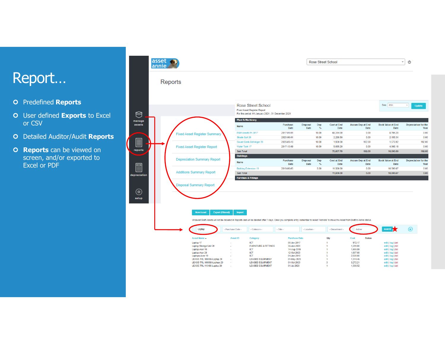### Report…

- **O** Predefined **Reports**
- User defined **Exports** to Excel or CSV
- Detailed Auditor/Audit **Reports**
- **C Reports** can be viewed on screen, and/or exported to Excel or PDF

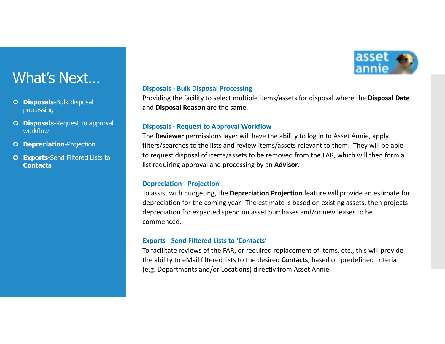

## What's Next…

- **Disposals**-Bulk disposal processing
- **O Disposals**-Request to approval workflow
- **Depreciation**-Projection
- **Exports**-Send Filtered Lists to **Contacts**

#### **Disposals - Bulk Disposal Processing**

Providing the facility to select multiple items/assets for disposal where the **Disposal Date**and **Disposal Reason** are the same.

#### **Disposals - Request to Approval Workflow**

 The **Reviewer** permissions layer will have the ability to log in to Asset Annie, apply filters/searches to the lists and review items/assets relevant to them. They will be able to request disposal of items/assets to be removed from the FAR, which will then form a list requiring approval and processing by an **Advisor**.

#### **Depreciation - Projection**

 To assist with budgeting, the **Depreciation Projection** feature will provide an estimate for depreciation for the coming year. The estimate is based on existing assets, then projects depreciation for expected spend on asset purchases and/or new leases to be commenced.

#### **Exports - Send Filtered Lists to 'Contacts'**

To facilitate reviews of the FAR, or required replacement of items, etc., this will provide the ability to eMail filtered lists to the desired **Contacts**, based on predefined criteria (e.g. Departments and/or Locations) directly from Asset Annie.